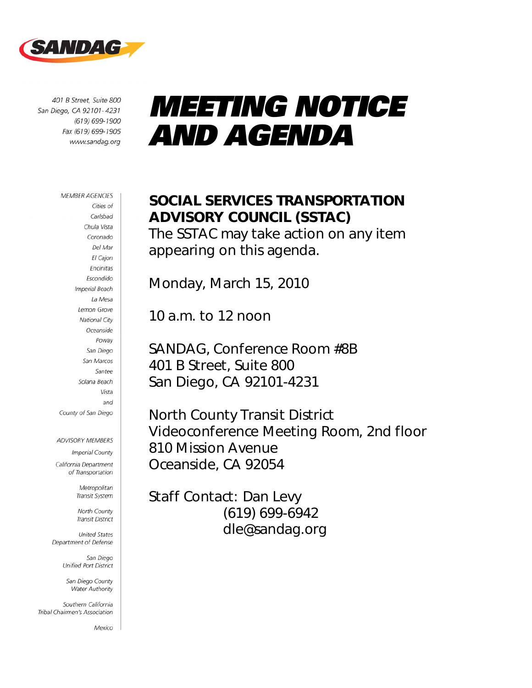

401 B Street, Suite 800 San Diego, CA 92101-4231  $(619) 699 - 1900$ Fax (619) 699-1905 www.sandag.org

# *MEETING NOTICE AND AGENDA*

### **MEMBER AGENCIES** Cities of Carlsbad Chula Vista Coronado Del Mar El Cajon Encinitas Escondido **Imperial Beach** La Mesa Lemon Grove **National City** Oceanside Poway San Diego San Marcos Santee Solana Beach Vista and County of San Diego

ADVISORY MEMBERS

**Imperial County** California Department

of Transportation

Metropolitan Transit System

North County **Transit District** 

**United States** Department of Defense

> San Diego Unified Port District

San Diego County Water Authority

Southern California Tribal Chairmen's Association

Mexico

# SOCIAL SERVICES TRANSPORTATION ADVISORY COUNCIL (SSTAC)

The SSTAC may take action on any item appearing on this agenda.

Monday, March 15, 2010

10 a.m. to 12 noon

SANDAG, Conference Room #8B 401 B Street, Suite 800 San Diego, CA 92101-4231

North County Transit District Videoconference Meeting Room, 2nd floor 810 Mission Avenue Oceanside, CA 92054

Staff Contact: Dan Levy (619) 699-6942 dle@sandag.org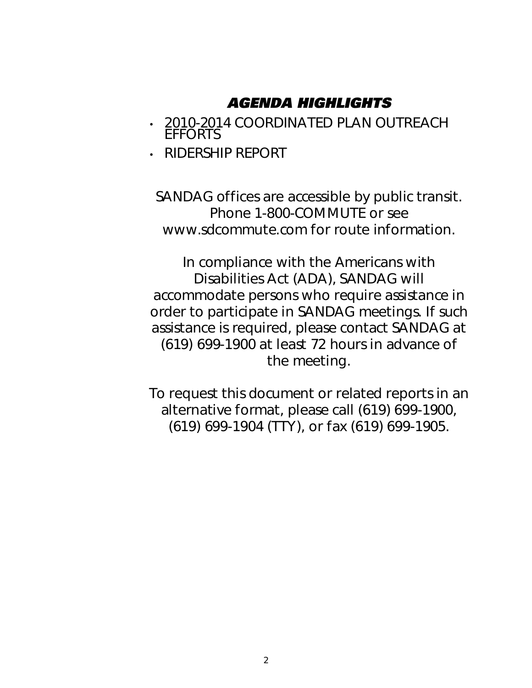# *AGENDA HIGHLIGHTS*

- 2010-2014 COORDINATED PLAN OUTREACH EFFORTS
- RIDERSHIP REPORT

SANDAG offices are accessible by public transit. Phone 1-800-COMMUTE or see www.sdcommute.com for route information.

*In compliance with the Americans with Disabilities Act (ADA), SANDAG will accommodate persons who require assistance in order to participate in SANDAG meetings. If such assistance is required, please contact SANDAG at (619) 699-1900 at least 72 hours in advance of the meeting.* 

*To request this document or related reports in an alternative format, please call (619) 699-1900, (619) 699-1904 (TTY), or fax (619) 699-1905.*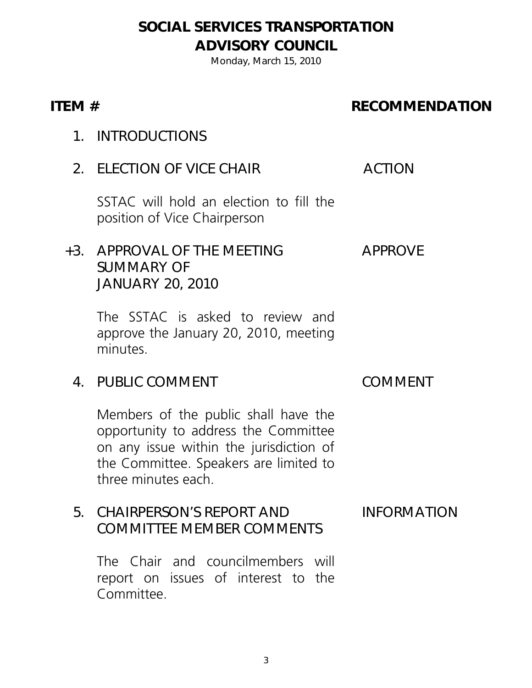# SOCIAL SERVICES TRANSPORTATION ADVISORY COUNCIL

Monday, March 15, 2010

### ITEM # RECOMMENDATION

- 1. INTRODUCTIONS
- 2. ELECTION OF VICE CHAIR ACTION

SSTAC will hold an election to fill the position of Vice Chairperson

### +3. APPROVAL OF THE MEETING SUMMARY OF JANUARY 20, 2010 APPROVE

The SSTAC is asked to review and approve the January 20, 2010, meeting minutes.

4. PUBLIC COMMENT COMMENT

Members of the public shall have the opportunity to address the Committee on any issue within the jurisdiction of the Committee. Speakers are limited to three minutes each.

### 5. CHAIRPERSON'S REPORT AND COMMITTEE MEMBER COMMENTS INFORMATION

The Chair and councilmembers will report on issues of interest to the Committee.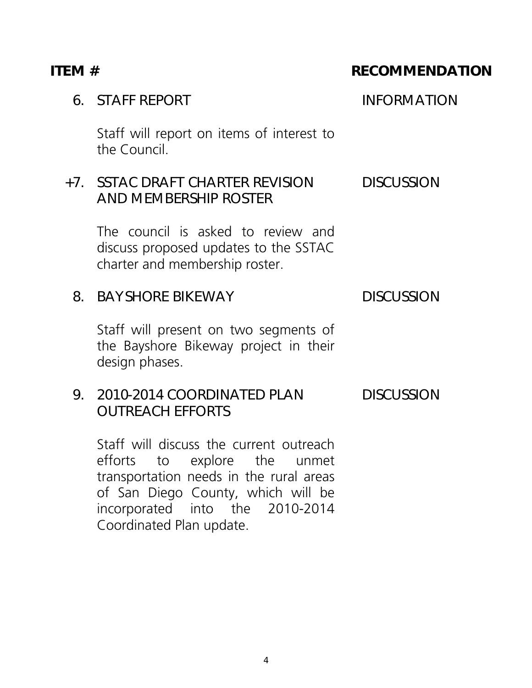# 6. STAFF REPORT INFORMATION Staff will report on items of interest to the Council. +7. SSTAC DRAFT CHARTER REVISION AND MEMBERSHIP ROSTER **DISCUSSION** The council is asked to review and discuss proposed updates to the SSTAC charter and membership roster. 8. BAYSHORE BIKEWAY DISCUSSION Staff will present on two segments of the Bayshore Bikeway project in their design phases. 9. 2010-2014 COORDINATED PLAN OUTREACH EFFORTS DISCUSSION

Staff will discuss the current outreach efforts to explore the unmet transportation needs in the rural areas of San Diego County, which will be incorporated into the 2010-2014 Coordinated Plan update.

4

# ITEM # RECOMMENDATION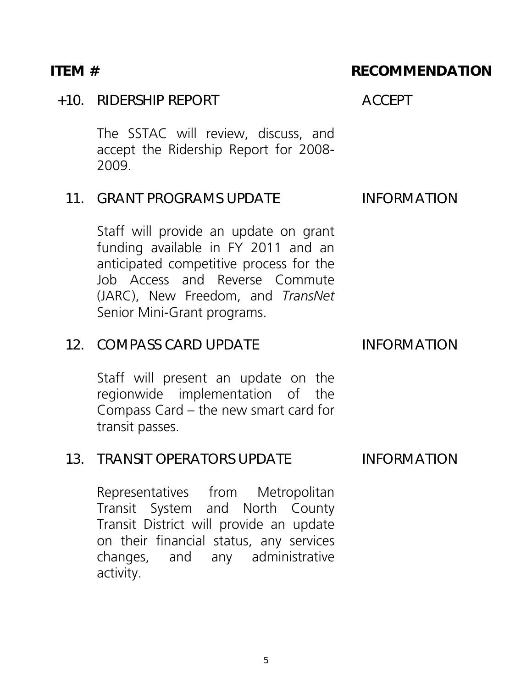### +10. RIDERSHIP REPORT ACCEPT

The SSTAC will review, discuss, and accept the Ridership Report for 2008- 2009.

### 11. GRANT PROGRAMS UPDATE INFORMATION

Staff will provide an update on grant funding available in FY 2011 and an anticipated competitive process for the Job Access and Reverse Commute (JARC), New Freedom, and *TransNet*  Senior Mini-Grant programs.

### 12. COMPASS CARD UPDATE INFORMATION

 Staff will present an update on the regionwide implementation of the Compass Card – the new smart card for transit passes.

### 13. TRANSIT OPERATORS UPDATE INFORMATION

Representatives from Metropolitan Transit System and North County Transit District will provide an update on their financial status, any services changes, and any administrative activity.

### ITEM # RECOMMENDATION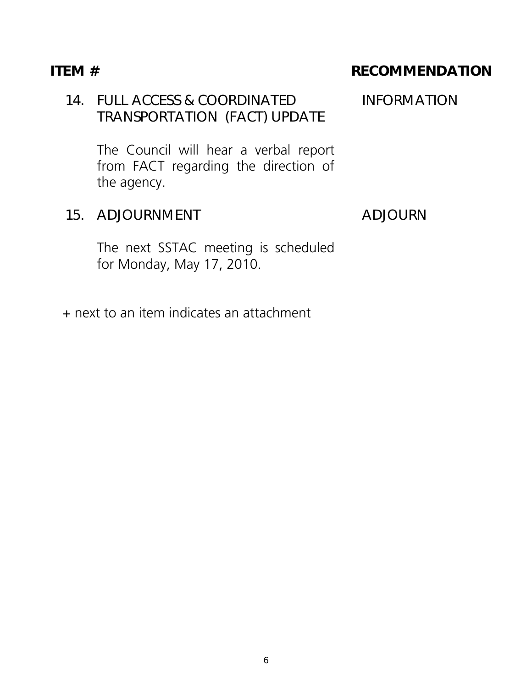## 14. FULL ACCESS & COORDINATED TRANSPORTATION (FACT) UPDATE

The Council will hear a verbal report from FACT regarding the direction of the agency.

### 15. ADJOURNMENT ADJOURN

The next SSTAC meeting is scheduled for Monday, May 17, 2010.

+ next to an item indicates an attachment

### ITEM # RECOMMENDATION

INFORMATION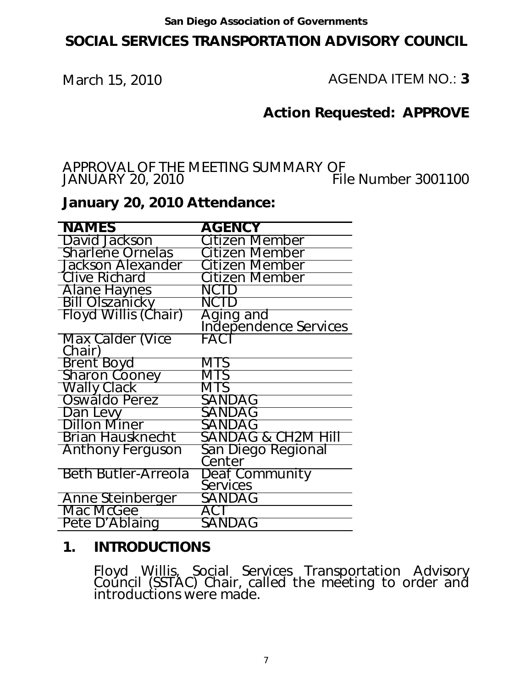# SOCIAL SERVICES TRANSPORTATION ADVISORY COUNCIL

March 15, 2010 **AGENDA ITEM NO.: 3** 

# Action Requested: APPROVE

### APPROVAL OF THE MEETING SUMMARY OF<br>JANUARY 20, 2010 File Number 3001100 JANUARY 20, 2010

### January 20, 2010 Attendance:

| <b>NAMES</b>                | <b>AGENCY</b>                      |
|-----------------------------|------------------------------------|
| David Jackson               | Citizen Member                     |
| <b>Sharlene Ornelas</b>     | Citizen Member                     |
| <b>Jackson Alexander</b>    | Citizen Member                     |
| <b>Clive Richard</b>        | Citizen Member                     |
| <b>Alane Haynes</b>         | NCTD                               |
| <b>Bill Olszanicky</b>      | NCTD                               |
| <b>Floyd Willis (Chair)</b> | Aging and<br>Independence Services |
| Max Calder (Vice<br>Chair)  | FACT                               |
| Brent Boyd                  | MTS                                |
| <b>Sharon Cooney</b>        | MTS                                |
| Wally Clack                 | MTS                                |
| Oswaldo Perez               | SANDAG                             |
| Dan Levy                    | SANDAG                             |
| <b>Dillon Miner</b>         | SANDAG                             |
| <b>Brian Hausknecht</b>     | SANDAG & CH2M Hill                 |
| <b>Anthony Ferguson</b>     | San Diego Regional<br>Center       |
| <b>Beth Butler-Arreola</b>  | Deaf Community<br><b>Services</b>  |
| Anne Steinberger            | SANDAG                             |
| Mac McGee                   | ACT                                |
| Pete D'Ablaing              | SANDAG                             |

### 1. INTRODUCTIONS

Floyd Willis, Social Services Transportation Advisory Council (SSTAC) Chair, called the meeting to order and introductions were made.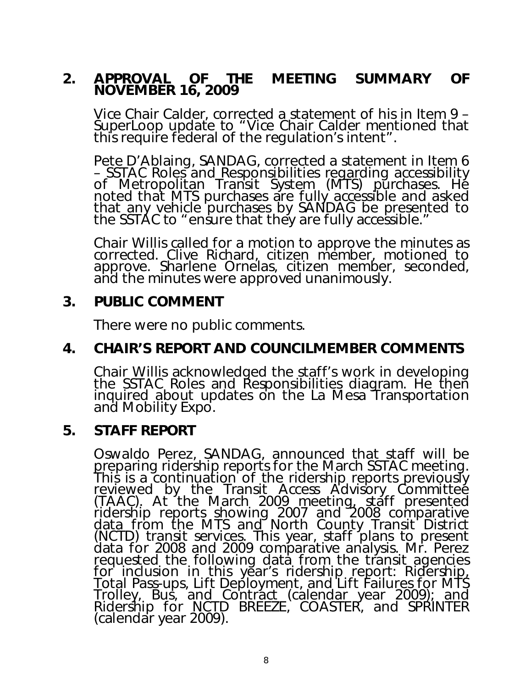### 2. APPROVAL OF THE MEETING SUMMARY OF NOVEMBER 16, 2009

Vice Chair Calder, corrected a statement of his in Item 9 – SuperLoop update to "Vice Chair Calder mentioned that this require federal of the regulation's intent".

Pete D'Ablaing, SANDAG, corrected a statement in Item 6 – SSTAC Roles and Responsibilities regarding accessibility of Metropolitan Transit System (MTS) purchases. He noted that MTS purchases are fully accessible and asked that any vehicle purchases by SANDAG be presented to the SSTAC to "ensure that they are fully accessible."

Chair Willis called for a motion to approve the minutes as corrected. Clive Richard, citizen member, motioned to approve. Sharlene Ornelas, citizen member, seconded, and the minutes were approved unanimously.

### 3. PUBLIC COMMENT

There were no public comments.

## 4. CHAIR'S REPORT AND COUNCILMEMBER COMMENTS

 Chair Willis acknowledged the staff's work in developing the SSTAC Roles and Responsibilities diagram. He then inquired about updates on the La Mesa Transportation and Mobility Expo.

### 5. STAFF REPORT

Oswaldo Perez, SANDAG, announced that staff will be preparing ridership reports for the March SSTAC meeting. This is a continuation of the ridership reports previously reviewed by the Transit Access Advisory Committee (TAAC). At the March 2009 meeting, staff presented<br>ridership reports <u>sh</u>owing 2007 and 200<u>8</u> comparative data from the MTS and North County Transit District (NCTD) transit services. This year, staff plans to present data for 2008 and 2009 comparative analysis. Mr. Perez requested the following data from the transit agencies for inclusion in this year's ridership report: Ridership, Total Pass-ups, Lift Deployment, and Lift Failures for MTS Trolley, Bus, and Contract (calendar year 2009); and Ridership for NCTD BREEZE, COASTER, and SPRINTER (calendar year 2009).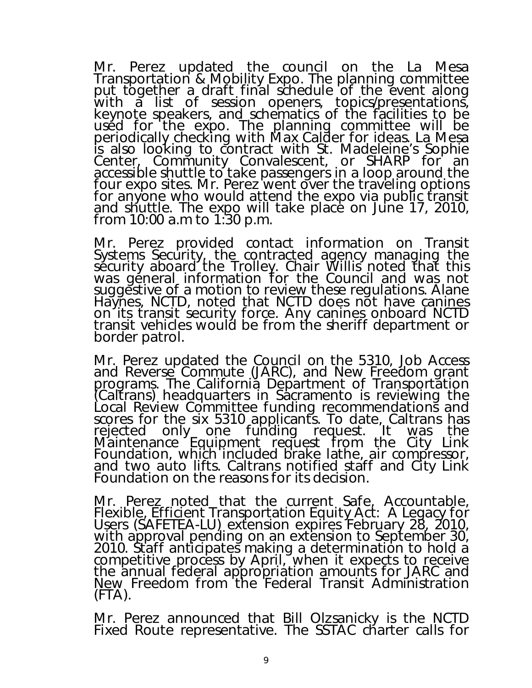Mr. Perez updated the council on the La Mesa Transportation & Mobility Expo. The planning committee put together a draft final schedule of the event along with a list of session openers, topics/presentations, keynote speakers, and schematics of the facilities to be used for the expo. The planning committee will be periodically checking with Max Calder for ideas. La Mesa is also looking to contract with St. Madeleine's Sophie Center, Community Convalescent, or SHARP for an accessible shuttle to take passengers in a loop around the four expo sites. Mr. Perez went over the traveling options for anyone who would attend the expo via public transit and shuttle. The expo will take place on June 17, 2010, from 10:00 a.m to 1:30 p.m.

Mr. Perez provided contact information on Transit Systems Security, the contracted agency managing the security aboard the Trolley. Chair Willis noted that this was general information for the Council and was not suggestive of a motion to review these regulations. Alane Haynes, NCTD, noted that NCTD does not have canines on its transit security force. Any canines onboard NCTD transit vehicles would be from the sheriff department or border patrol.

Mr. Perez updated the Council on the 5310, Job Access and Reverse Commute (JARC), and New Freedom grant programs. The California Department of Transportation (Caltrans) headquarters in Sacramento is reviewing the Local Review Committee funding recommendations and scores for the six 5310 applicants. To date, Caltrans has rejected only one funding request. It was the Maintenance Equipment request from the City Link Foundation, which included brake lathe, air compressor, and two auto lifts. Caltrans notified staff and City Link Foundation on the reasons for its decision.

Mr. Perez noted that the current Safe, Accountable, Flexible, Efficient Transportation Equity Act: A Legacy for Users (SAFETEA-LU) extension expires February 28, 2010, with approval pending on an extension to September 30, 2010. Staff anticipates making a determination to hold a competitive process by April, when it expects to receive the annual federal appropriation amounts for JARC and New Freedom from the Federal Transit Administration  $(FTA)$ .

Mr. Perez announced that Bill Olzsanicky is the NCTD Fixed Route representative. The SSTAC charter calls for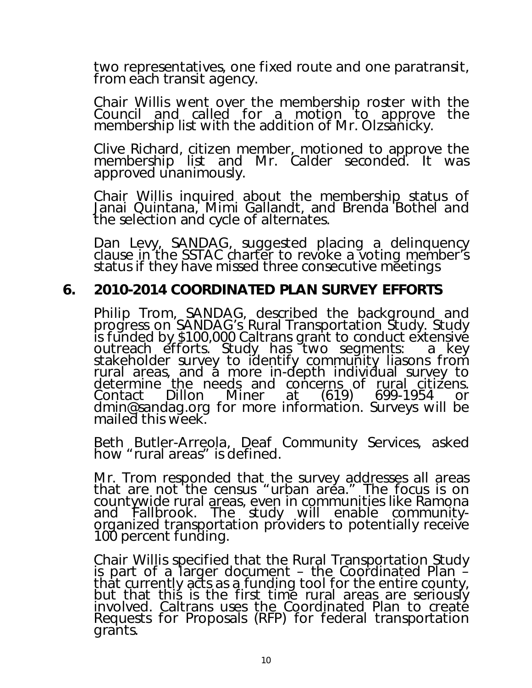two representatives, one fixed route and one paratransit, from each transit agency.

Chair Willis went over the membership roster with the Council and called for a motion to approve the membership list with the addition of Mr. Olzsanicky.

Clive Richard, citizen member, motioned to approve the membership list and Mr. Calder seconded. It was approved unanimously.

Chair Willis inquired about the membership status of Janai Quintana, Mimi Gallandt, and Brenda Bothel and the selection and cycle of alternates.

Dan Levy, SANDAG, suggested placing a delinquency clause in the SSTAC charter to revoke a voting member's status if they have missed three consecutive meetings

### 6. 2010-2014 COORDINATED PLAN SURVEY EFFORTS

Philip Trom, SANDAG, described the background and progress on SANDAG's Rural Transportation Study. Study is funded by \$100,000 Caltrans grant to conduct extensive outreach efforts. Study has two segments: a key stakeholder survey to identify community liasons from rural areas, and a more in-depth individual survey to determine the needs and concerns of rural citizens.<br>Contact Dillon Miner at (619) 699-1954 or Contact Dillon Miner at (619) 699-1954 or dmin@sandag.org for more information. Surveys will be mailed this week.

Beth Butler-Arreola, Deaf Community Services, asked how "rural areas" is defined.

Mr. Trom responded that the survey addresses all areas that are not the census "urban area." The focus is on countywide rural areas, even in communities like Ramona and Fallbrook. The study will enable communityorganized transportation providers to potentially receive 100 percent funding.

Chair Willis specified that the Rural Transportation Study is part of a larger document  $-$  the Coordinated Plan  $\tilde{-}$ that currently acts as a funding tool for the entire county, but that this is the first time rural areas are seriously involved. Caltrans uses the Coordinated Plan to create Requests for Proposals (RFP) for federal transportation grants.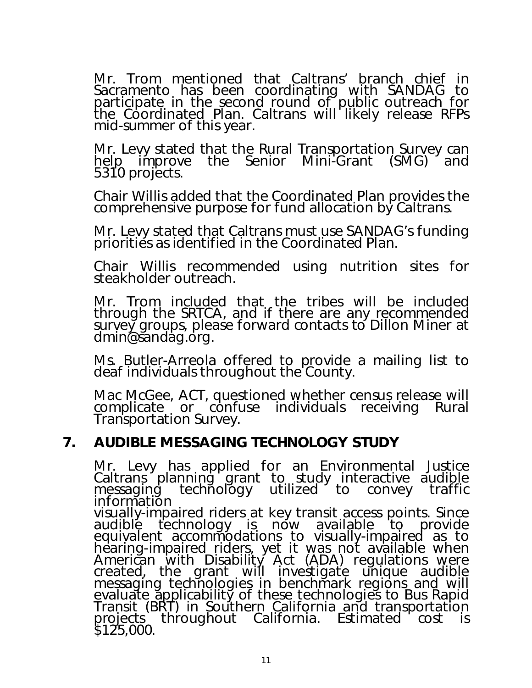Mr. Trom mentioned that Caltrans' branch chief in Sacramento has been coordinating with SANDAG to participate in the second round of public outreach for the Coordinated Plan. Caltrans will likely release RFPs mid-summer of this year.

Mr. Levy stated that the Rural Transportation Survey can help improve the Senior Mini-Grant (SMG) and 5310 projects.

Chair Willis added that the Coordinated Plan provides the comprehensive purpose for fund allocation by Caltrans.

Mr. Levy stated that Caltrans must use SANDAG's funding priorities as identified in the Coordinated Plan.

Chair Willis recommended using nutrition sites for steakholder outreach.

Mr. Trom included that the tribes will be included through the SRTCA, and if there are any recommended survey groups, please forward contacts to Dillon Miner at dmin@sandag.org.

Ms. Butler-Arreola offered to provide a mailing list to deaf individuals throughout the County.

Mac McGee, ACT, questioned whether census release will complicate or confuse individuals receiving Rural Transportation Survey.

### 7. AUDIBLE MESSAGING TECHNOLOGY STUDY

Mr. Levy has applied for an Environmental Justice Caltrans planning grant to study interactive audible messaging technology utilized to convey traffic information visually-impaired riders at key transit access points. Since audiblę technology is now available equivalent accommodations to visually-impaired as to hearing-impaired riders, yet it was not available when American with Disability Act (ADA) regulations were created, the grant will investigate unique audible messaging technologies in benchmark regions and will evaluate applicability of these technologies to Bus Rapid Transit (BRT) in Southern California and transportation projects throughout California. Estimated cost is \$125,000.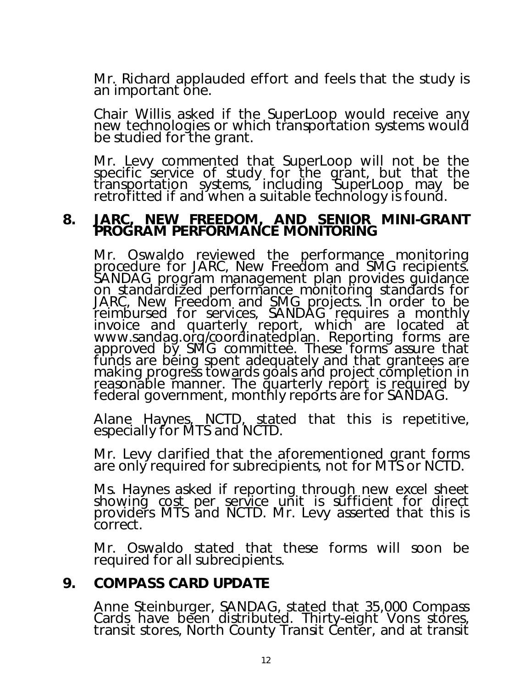Mr. Richard applauded effort and feels that the study is an important one.

Chair Willis asked if the SuperLoop would receive any new technologies or which transportation systems would be studied for the grant.

Mr. Levy commented that SuperLoop will not be the specific service of study for the grant, but that the transportation systems, including SuperLoop may be retrofitted if and when a suitable technology is found.

# 8. JARC, NEW FREEDOM, AND SENIOR MINI-GRANT<br>PROGRAM PERFORMANCE MONITORING

Mr. Oswaldo reviewed the performance monitoring procedure for JARC, New Freedom and SMG recipients. SANDAG program management plan provides guidance on standardized performance monitoring standards for JARC, New Freedom and SMG projects. In order to be reimbursed for services, SANDAG requires a monthly invoice and quarterly report, which are located at www.sandag.org/coordinatedplan. Reporting forms are approved by SMG committee. These forms assure that funds are being spent adequately and that grantees are making progress towards goals and project completion in reasonable manner. The quarterly report is required by federal government, monthly reports are for SANDAG.

Alane Haynes, NCTD, stated that this is repetitive, especially for MTS and NCTD.

Mr. Levy clarified that the aforementioned grant forms are only required for subrecipients, not for MTS or NCTD.

Ms. Haynes asked if reporting through new excel sheet showing cost per service unit is sufficient for direct providers MTS and NCTD. Mr. Levy asserted that this is correct.

Mr. Oswaldo stated that these forms will soon be required for all subrecipients.

### 9. COMPASS CARD UPDATE

 Anne Steinburger, SANDAG, stated that 35,000 Compass Cards have been distributed. Thirty-eight Vons stores, transit stores, North County Transit Center, and at transit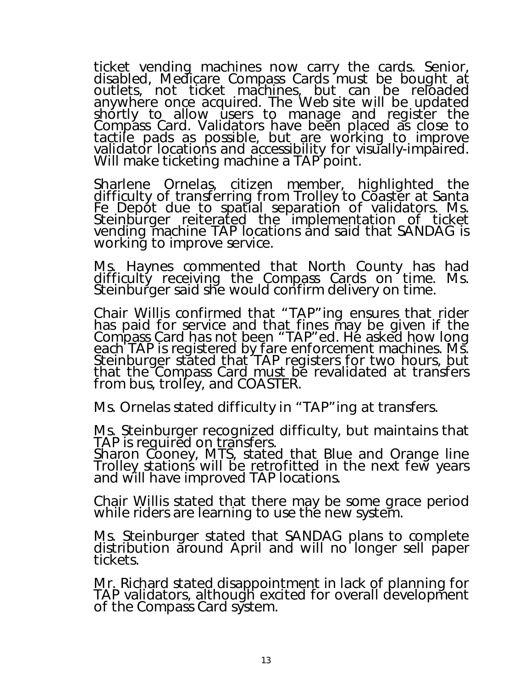ticket vending machines now carry the cards. Senior, disabled, Medicare Compass Cards must be bought at outlets, not ticket machines, but can be reloaded anywhere once acquired. The Web site will be updated shortly to allow users to manage and register the Compass Card. Validators have been placed as close to tactile pads as possible, but are working to improve validator locations and accessibility for visually-impaired. Will make ticketing machine a TAP point.

Sharlene Ornelas, citizen member, highlighted the difficulty of transferring from Trolley to Coaster at Santa Fe Depót due to spatíal separation of validators. Ms. Steinburger reiterated the implementation of ticket vending machine TAP locations and said that SANDAG is working to improve service.

Ms. Haynes commented that North County has had difficulty receiving the Compass Cards on time. Ms. Steinburger said she would confirm delivery on time.

Chair Willis confirmed that "TAP"ing ensures that rider has paid for service and that fines may be given if the Compass Card has not been "TAP"ed. He asked how long each TAP is registered by fare enforcement machines. Ms. Steinburger stated that TAP registers for two hours, but that the Compass Card must be revalidated at transfers from bus, trolley, and COASTER.

Ms. Ornelas stated difficulty in "TAP"ing at transfers.

Ms. Steinburger recognized difficulty, but maintains that TAP is required on transfers.

Sharon Cooney, MTS, stated that Blue and Orange line Trolley stations will be retrofitted in the next few years and will have improved TAP locations.

Chair Willis stated that there may be some grace period while riders are learning to use the new system.

Ms. Steinburger stated that SANDAG plans to complete distribution around April and will no longer sell paper tickets.

Mr. Richard stated disappointment in lack of planning for TAP validators, although excited for overall development of the Compass Card system.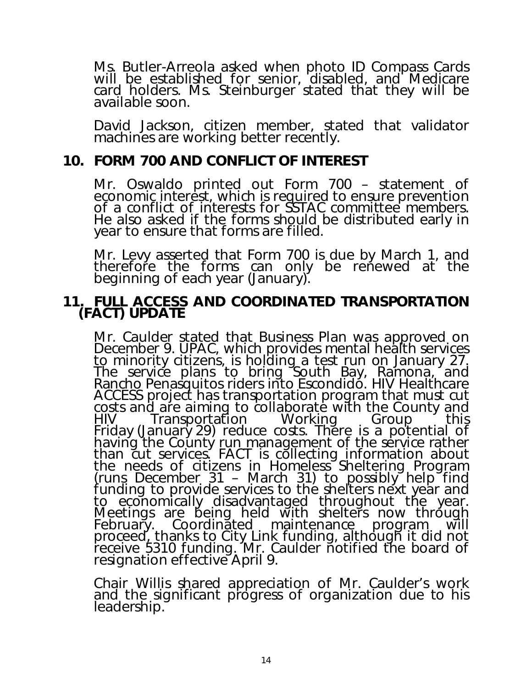Ms. Butler-Arreola asked when photo ID Compass Cards will be established for senior, disabled, and Medicare card holders. Ms. Steinburger stated that they will be available soon.

David Jackson, citizen member, stated that validator machines are working better recently.

### 10. FORM 700 AND CONFLICT OF INTEREST

Mr. Oswaldo printed out Form 700 – statement of economic interest, which is required to ensure prevention of a conflict of interests for SSTAC committee members. He also asked if the forms should be distributed early in year to ensure that forms are filled.

Mr. Levy asserted that Form 700 is due by March 1, and therefore the forms can only be renewed at the beginning of each year (January).

### 11. FULL ACCESS AND COORDINATED TRANSPORTATION (FACT) UPDATE

Mr. Caulder stated that Business Plan was approved on December 9. UPAC, which provides mental health services to minority citizens, is holding a test run on January 27. The service plans to bring South Bay, Ramona, and Rancho Penasquitos riders into Escondido. HIV Healthcare ACCESS project has transportation program that must cut costs and are aiming to collaborate with the County and<br>HIV Transportation Working Group this Transportation Working Friday (January 29) reduce costs. There is a potential of having the County run management of the service rather than cut services. FACT is collecting information about the needs of citizens in Homeless Sheltering Program (runs December 31 – March 31) to possibly help find funding to provide services to the shelters next year and to economically disadvantaged throughout the year. Meetings are being held with shelters now through February. Coordinated maintenance program will<br>proceed, thanks to City Link funding, although it did not proceed, thanks to City Link funding, although it did not<br>receive 5310 funding. Mr. Caulder notified the board of resignation effective April 9.

Chair Willis shared appreciation of Mr. Caulder's work and the significant progress of organization due to his leadership.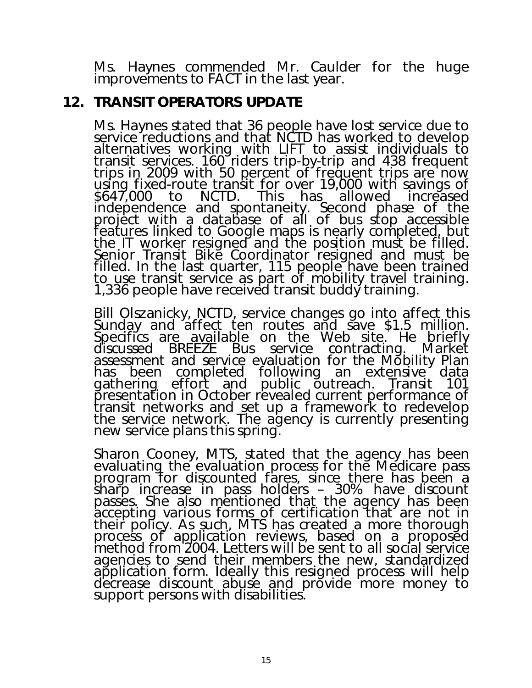Ms. Haynes commended Mr. Caulder for the huge improvements to FACT in the last year.

### 12. TRANSIT OPERATORS UPDATE

Ms. Haynes stated that 36 people have lost service due to service reductions and that NCTD has worked to develop alternatives working with LIFT to assist individuals to transit services. 160 riders trip-by-trip and 438 frequent<br>trips in 2009 with 50 percent of frequent trips are now using fixed-route transit for over 19,000 with savings of \$647,000 to NCTD. This has allowed increased independence and spontaneity. Second phase of the project with a database of all of bus stop accessible features linked to Google maps is nearly completed, but the IT worker resigned and the position must be filled. Senior Transit Bike Coordinator resigned and must be filled. In the last quarter, 115 people have been trained to use transit service as part of mobility travel training. 1,336 people have received transit buddy training.

Bill Olszanicky, NCTD, service changes go into affect this Sunday and affect ten routes and save \$1.5 million. Specifics are available on the Web site. He briefly discussed BREEZE Bus service contracting. Market assessment and service evaluation for the Mobility Plan has been completed following an extensive data gathering effort and public outreach. Transit 101 presentation in October revealed current performance of transit networks and set up a framework to redevelop the service network. The agency is currently presenting new service plans this spring.

Sharon Cooney, MTS, stated that the agency has been evaluating the evaluation process for the Medicare pass program for discounted fares, since there has been a sharp increase in pass holders - 30% have discount passes. She also mentioned that the agency has been accepting various forms of certification that are not in their policy. As such, MTS has created a more thorough process of application reviews, based on a proposed method from 2004. Letters will be sent to all social service agencies to send their members the new, standardized application form. Ideally this resigned process will help decrease discount abuse and provide more money to support persons with disabilities.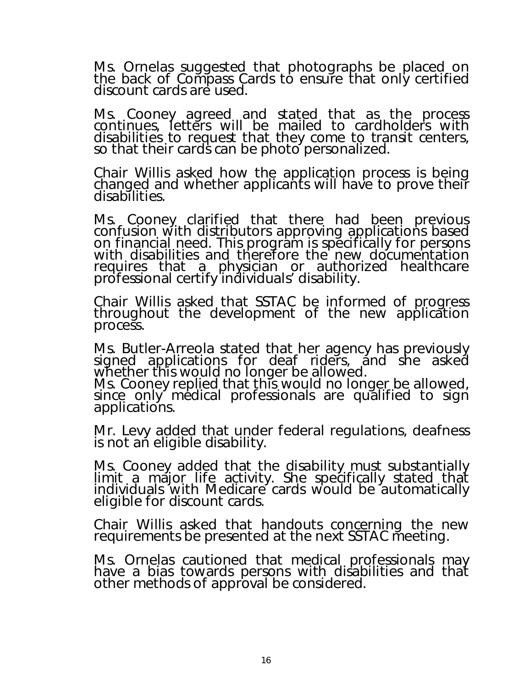Ms. Ornelas suggested that photographs be placed on the back of Compass Cards to ensure that only certified discount cards are used.

Ms. Cooney agreed and stated that as the process continues, letters will be mailed to cardholders with disabilities to request that they come to transit centers, so that their cards can be photo personalized.

Chair Willis asked how the application process is being changed and whether applicants will have to prove their disabilities.

Ms. Cooney clarified that there had been previous confusion with distributors approving applications based on financial need. This program is specifically for persons with disabilities and therefore the new documentation requires that a physician or authorized healthcare professional certify individuals' disability.

Chair Willis asked that SSTAC be informed of progress throughout the development of the new application process.

Ms. Butler-Arreola stated that her agency has previously signed applications for deaf riders, and she asked whether this would no longer be allowed.

Ms. Cooney replied that this would no longer be allowed, since only medical professionals are qualified to sign applications.

Mr. Levy added that under federal regulations, deafness is not an eligible disability.

Ms. Cooney added that the disability must substantially limit a major life activity. She specifically stated that individuals with Medicare cards would be automatically eligible for discount cards.

Chair Willis asked that handouts concerning the new requirements be presented at the next SSTAC meeting.

Ms. Ornelas cautioned that medical professionals may have a bias towards persons with disabilities and that other methods of approval be considered.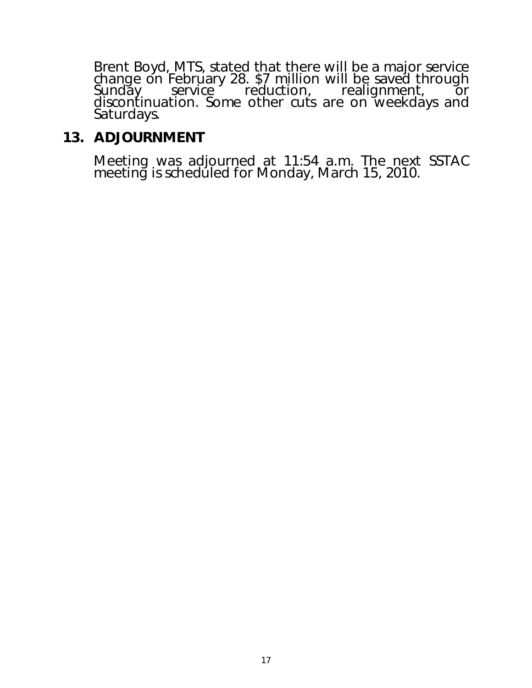Brent Boyd, MTS, stated that there will be a major service change on February 28. \$7 million will be saved through Sunday service reduction, realignment, or discontinuation. Some other cuts are on weekdays and Saturdays.

### 13. ADJOURNMENT

Meeting was adjourned at 11:54 a.m. The next SSTAC meeting is scheduled for Monday, March 15, 2010.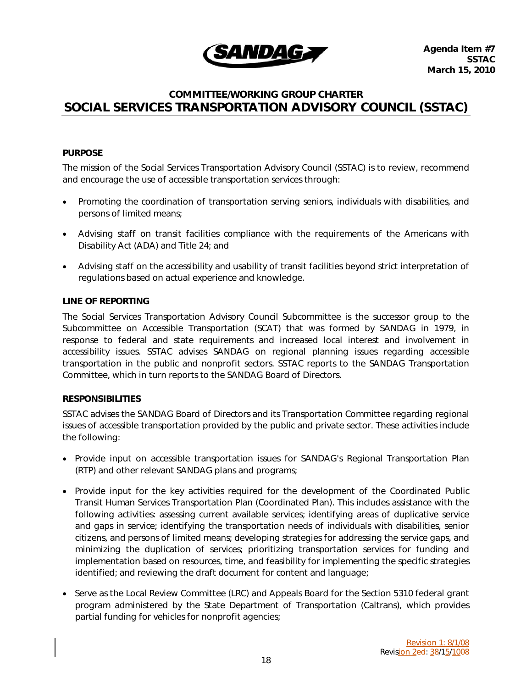

### COMMITTEE/WORKING GROUP CHARTER SOCIAL SERVICES TRANSPORTATION ADVISORY COUNCIL (SSTAC)

### PURPOSE

The mission of the Social Services Transportation Advisory Council (SSTAC) is to review, recommend and encourage the use of accessible transportation services through:

- Promoting the coordination of transportation serving seniors, individuals with disabilities, and persons of limited means;
- Advising staff on transit facilities compliance with the requirements of the Americans with Disability Act (ADA) and Title 24; and
- Advising staff on the accessibility and usability of transit facilities beyond strict interpretation of regulations based on actual experience and knowledge.

### LINE OF REPORTING

The Social Services Transportation Advisory Council Subcommittee is the successor group to the Subcommittee on Accessible Transportation (SCAT) that was formed by SANDAG in 1979, in response to federal and state requirements and increased local interest and involvement in accessibility issues. SSTAC advises SANDAG on regional planning issues regarding accessible transportation in the public and nonprofit sectors. SSTAC reports to the SANDAG Transportation Committee, which in turn reports to the SANDAG Board of Directors.

### RESPONSIBILITIES

SSTAC advises the SANDAG Board of Directors and its Transportation Committee regarding regional issues of accessible transportation provided by the public and private sector. These activities include the following:

- Provide input on accessible transportation issues for SANDAG's Regional Transportation Plan (RTP) and other relevant SANDAG plans and programs;
- Provide input for the key activities required for the development of the Coordinated Public Transit Human Services Transportation Plan (Coordinated Plan). This includes assistance with the following activities: assessing current available services; identifying areas of duplicative service and gaps in service; identifying the transportation needs of individuals with disabilities, senior citizens, and persons of limited means; developing strategies for addressing the service gaps, and minimizing the duplication of services; prioritizing transportation services for funding and implementation based on resources, time, and feasibility for implementing the specific strategies identified; and reviewing the draft document for content and language;
- Serve as the Local Review Committee (LRC) and Appeals Board for the Section 5310 federal grant program administered by the State Department of Transportation (Caltrans), which provides partial funding for vehicles for nonprofit agencies;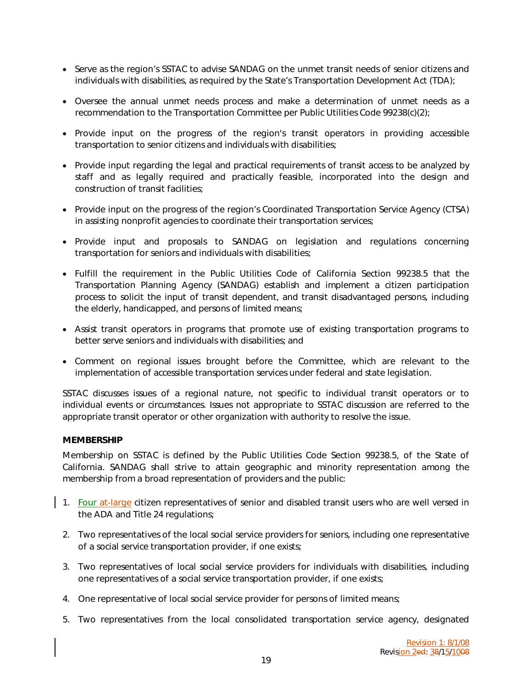- Serve as the region's SSTAC to advise SANDAG on the unmet transit needs of senior citizens and individuals with disabilities, as required by the State's Transportation Development Act (TDA);
- Oversee the annual unmet needs process and make a determination of unmet needs as a recommendation to the Transportation Committee per Public Utilities Code 99238(c)(2);
- Provide input on the progress of the region's transit operators in providing accessible transportation to senior citizens and individuals with disabilities;
- Provide input regarding the legal and practical requirements of transit access to be analyzed by staff and as legally required and practically feasible, incorporated into the design and construction of transit facilities;
- Provide input on the progress of the region's Coordinated Transportation Service Agency (CTSA) in assisting nonprofit agencies to coordinate their transportation services;
- Provide input and proposals to SANDAG on legislation and regulations concerning transportation for seniors and individuals with disabilities;
- Fulfill the requirement in the Public Utilities Code of California Section 99238.5 that the Transportation Planning Agency (SANDAG) establish and implement a citizen participation process to solicit the input of transit dependent, and transit disadvantaged persons, including the elderly, handicapped, and persons of limited means;
- Assist transit operators in programs that promote use of existing transportation programs to better serve seniors and individuals with disabilities; and
- Comment on regional issues brought before the Committee, which are relevant to the implementation of accessible transportation services under federal and state legislation.

SSTAC discusses issues of a regional nature, not specific to individual transit operators or to individual events or circumstances. Issues not appropriate to SSTAC discussion are referred to the appropriate transit operator or other organization with authority to resolve the issue.

### MEMBERSHIP

Membership on SSTAC is defined by the Public Utilities Code Section 99238.5, of the State of California. SANDAG shall strive to attain geographic and minority representation among the membership from a broad representation of providers and the public:

- 1. Four at-large citizen representatives of senior and disabled transit users who are well versed in the ADA and Title 24 regulations;
- 2. Two representatives of the local social service providers for seniors, including one representative of a social service transportation provider, if one exists;
- 3. Two representatives of local social service providers for individuals with disabilities, including one representatives of a social service transportation provider, if one exists;
- 4. One representative of local social service provider for persons of limited means;
- 5. Two representatives from the local consolidated transportation service agency, designated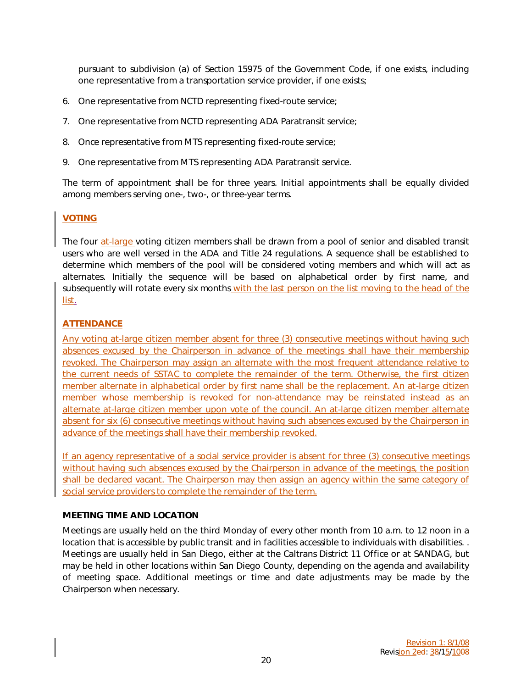pursuant to subdivision (a) of Section 15975 of the Government Code, if one exists, including one representative from a transportation service provider, if one exists;

- 6. One representative from NCTD representing fixed-route service;
- 7. One representative from NCTD representing ADA Paratransit service;
- 8. Once representative from MTS representing fixed-route service;
- 9. One representative from MTS representing ADA Paratransit service.

The term of appointment shall be for three years. Initial appointments shall be equally divided among members serving one-, two-, or three-year terms.

### VOTING

The four at-large voting citizen members shall be drawn from a pool of senior and disabled transit users who are well versed in the ADA and Title 24 regulations. A sequence shall be established to determine which members of the pool will be considered voting members and which will act as alternates. Initially the sequence will be based on alphabetical order by first name, and subsequently will rotate every six months with the last person on the list moving to the head of the list.

### **ATTENDANCE**

Any voting at-large citizen member absent for three (3) consecutive meetings without having such absences excused by the Chairperson in advance of the meetings shall have their membership revoked. The Chairperson may assign an alternate with the most frequent attendance relative to the current needs of SSTAC to complete the remainder of the term. Otherwise, the first citizen member alternate in alphabetical order by first name shall be the replacement. An at-large citizen member whose membership is revoked for non-attendance may be reinstated instead as an alternate at-large citizen member upon vote of the council. An at-large citizen member alternate absent for six (6) consecutive meetings without having such absences excused by the Chairperson in advance of the meetings shall have their membership revoked.

If an agency representative of a social service provider is absent for three (3) consecutive meetings without having such absences excused by the Chairperson in advance of the meetings, the position shall be declared vacant. The Chairperson may then assign an agency within the same category of social service providers to complete the remainder of the term.

### MEETING TIME AND LOCATION

Meetings are usually held on the third Monday of every other month from 10 a.m. to 12 noon in a location that is accessible by public transit and in facilities accessible to individuals with disabilities. . Meetings are usually held in San Diego, either at the Caltrans District 11 Office or at SANDAG, but may be held in other locations within San Diego County, depending on the agenda and availability of meeting space. Additional meetings or time and date adjustments may be made by the Chairperson when necessary.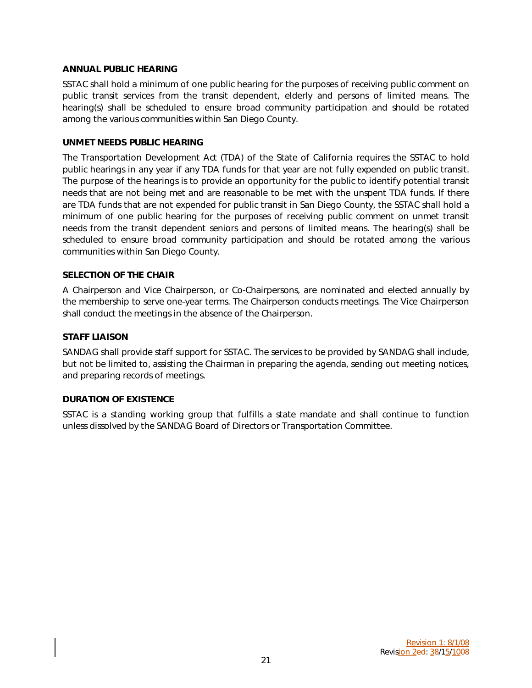### ANNUAL PUBLIC HEARING

SSTAC shall hold a minimum of one public hearing for the purposes of receiving public comment on public transit services from the transit dependent, elderly and persons of limited means. The hearing(s) shall be scheduled to ensure broad community participation and should be rotated among the various communities within San Diego County.

### UNMET NEEDS PUBLIC HEARING

The Transportation Development Act (TDA) of the State of California requires the SSTAC to hold public hearings in any year if any TDA funds for that year are not fully expended on public transit. The purpose of the hearings is to provide an opportunity for the public to identify potential transit needs that are not being met and are reasonable to be met with the unspent TDA funds. If there are TDA funds that are not expended for public transit in San Diego County, the SSTAC shall hold a minimum of one public hearing for the purposes of receiving public comment on unmet transit needs from the transit dependent seniors and persons of limited means. The hearing(s) shall be scheduled to ensure broad community participation and should be rotated among the various communities within San Diego County.

### SELECTION OF THE CHAIR

A Chairperson and Vice Chairperson, or Co-Chairpersons, are nominated and elected annually by the membership to serve one-year terms. The Chairperson conducts meetings. The Vice Chairperson shall conduct the meetings in the absence of the Chairperson.

### STAFF LIAISON

SANDAG shall provide staff support for SSTAC. The services to be provided by SANDAG shall include, but not be limited to, assisting the Chairman in preparing the agenda, sending out meeting notices, and preparing records of meetings.

### DURATION OF EXISTENCE

SSTAC is a standing working group that fulfills a state mandate and shall continue to function unless dissolved by the SANDAG Board of Directors or Transportation Committee.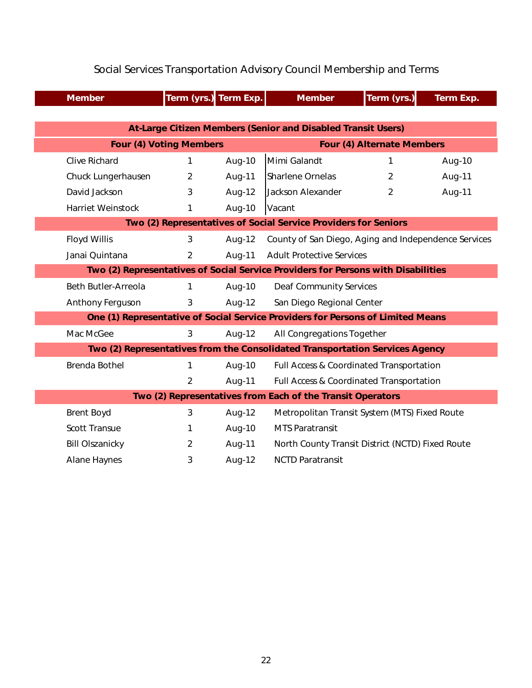|                                                                                   | <b>Member</b>                  | Term (yrs.) Term Exp. |        | <b>Member</b>                                        | Term (yrs.)    | Term Exp. |  |  |
|-----------------------------------------------------------------------------------|--------------------------------|-----------------------|--------|------------------------------------------------------|----------------|-----------|--|--|
|                                                                                   |                                |                       |        |                                                      |                |           |  |  |
| At-Large Citizen Members (Senior and Disabled Transit Users)                      |                                |                       |        |                                                      |                |           |  |  |
|                                                                                   | <b>Four (4) Voting Members</b> |                       |        | <b>Four (4) Alternate Members</b>                    |                |           |  |  |
|                                                                                   | <b>Clive Richard</b>           | 1                     | Aug-10 | Mimi Galandt                                         | 1              | Aug-10    |  |  |
|                                                                                   | Chuck Lungerhausen             | $\overline{2}$        | Aug-11 | <b>Sharlene Ornelas</b>                              | $\overline{2}$ | Aug-11    |  |  |
|                                                                                   | David Jackson                  | 3                     | Aug-12 | Jackson Alexander                                    | 2              | Aug-11    |  |  |
|                                                                                   | <b>Harriet Weinstock</b>       | 1                     | Aug-10 | Vacant                                               |                |           |  |  |
| Two (2) Representatives of Social Service Providers for Seniors                   |                                |                       |        |                                                      |                |           |  |  |
|                                                                                   | <b>Floyd Willis</b>            | 3                     | Aug-12 | County of San Diego, Aging and Independence Services |                |           |  |  |
|                                                                                   | Janai Quintana                 | $\overline{2}$        | Aug-11 | <b>Adult Protective Services</b>                     |                |           |  |  |
| Two (2) Representatives of Social Service Providers for Persons with Disabilities |                                |                       |        |                                                      |                |           |  |  |
|                                                                                   | <b>Beth Butler-Arreola</b>     | 1                     | Aug-10 | <b>Deaf Community Services</b>                       |                |           |  |  |
|                                                                                   | Anthony Ferguson               | 3                     | Aug-12 | San Diego Regional Center                            |                |           |  |  |
| One (1) Representative of Social Service Providers for Persons of Limited Means   |                                |                       |        |                                                      |                |           |  |  |
|                                                                                   | Mac McGee                      | 3                     | Aug-12 | All Congregations Together                           |                |           |  |  |
| Two (2) Representatives from the Consolidated Transportation Services Agency      |                                |                       |        |                                                      |                |           |  |  |
|                                                                                   | <b>Brenda Bothel</b>           | 1                     | Aug-10 | Full Access & Coordinated Transportation             |                |           |  |  |
|                                                                                   |                                | $\overline{2}$        | Aug-11 | Full Access & Coordinated Transportation             |                |           |  |  |
| Two (2) Representatives from Each of the Transit Operators                        |                                |                       |        |                                                      |                |           |  |  |
|                                                                                   | <b>Brent Boyd</b>              | 3                     | Aug-12 | Metropolitan Transit System (MTS) Fixed Route        |                |           |  |  |
|                                                                                   | <b>Scott Transue</b>           | 1                     | Aug-10 | <b>MTS Paratransit</b>                               |                |           |  |  |
|                                                                                   | <b>Bill Olszanicky</b>         | $\overline{2}$        | Aug-11 | North County Transit District (NCTD) Fixed Route     |                |           |  |  |
|                                                                                   | <b>Alane Haynes</b>            | 3                     | Aug-12 | <b>NCTD Paratransit</b>                              |                |           |  |  |

# Social Services Transportation Advisory Council Membership and Terms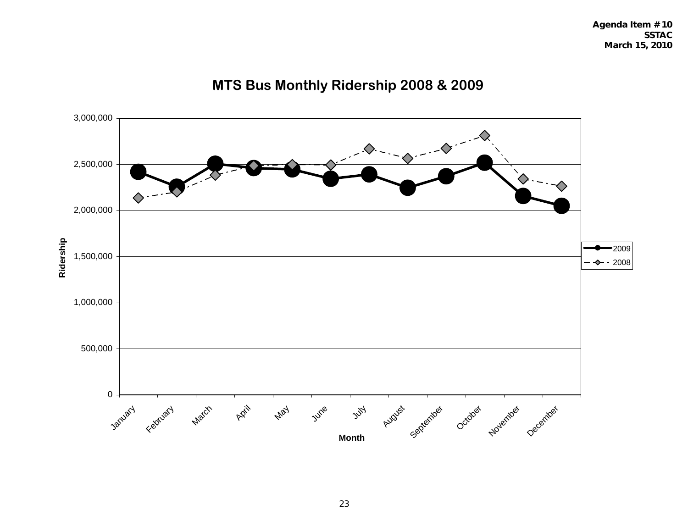**SSTAC March 15, 2010**



# **MTS Bus Monthly Ridership 2008 & 2009**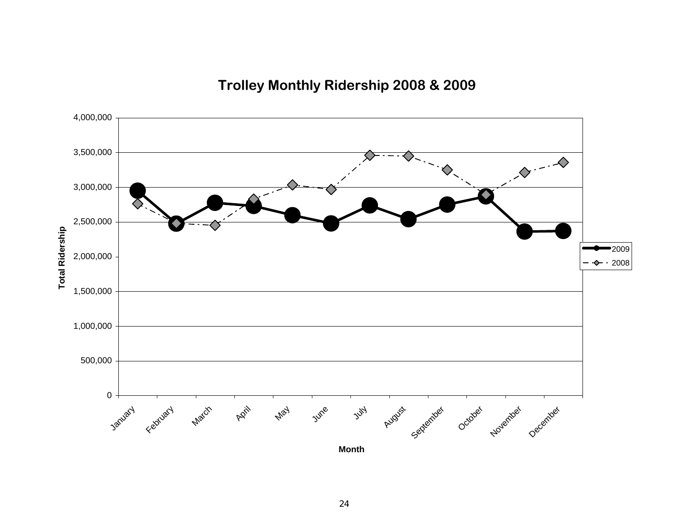**Trolley Monthly Ridership 2008 & 2009**

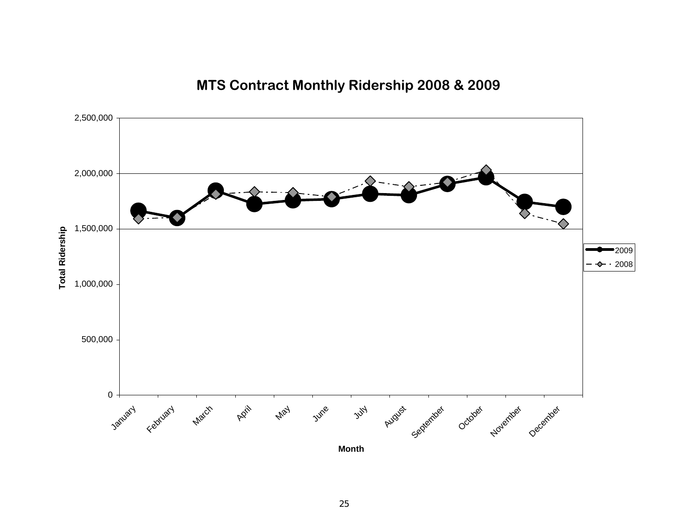# **MTS Contract Monthly Ridership 2008 & 2009**

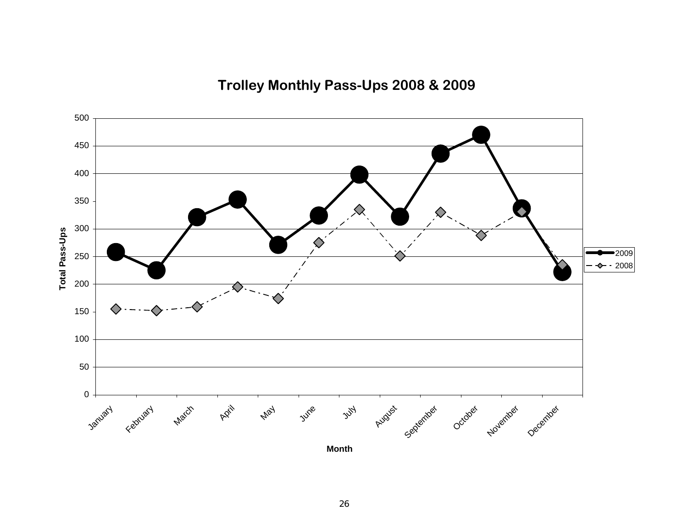**Trolley Monthly Pass-Ups 2008 & 2009**

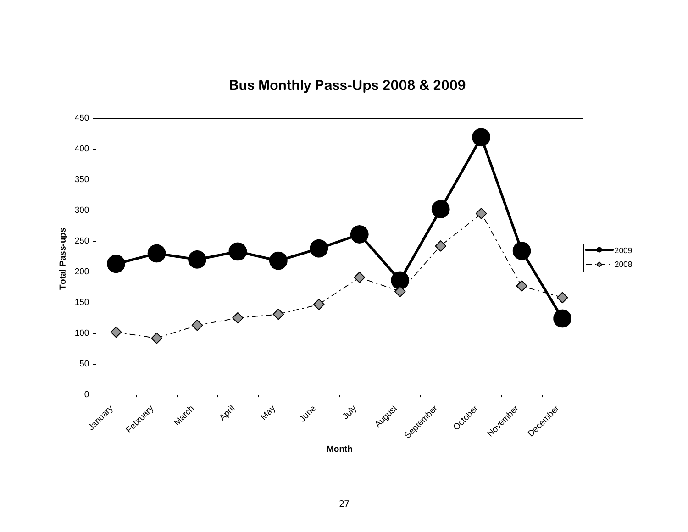**Bus Monthly Pass-Ups 2008 & 2009**

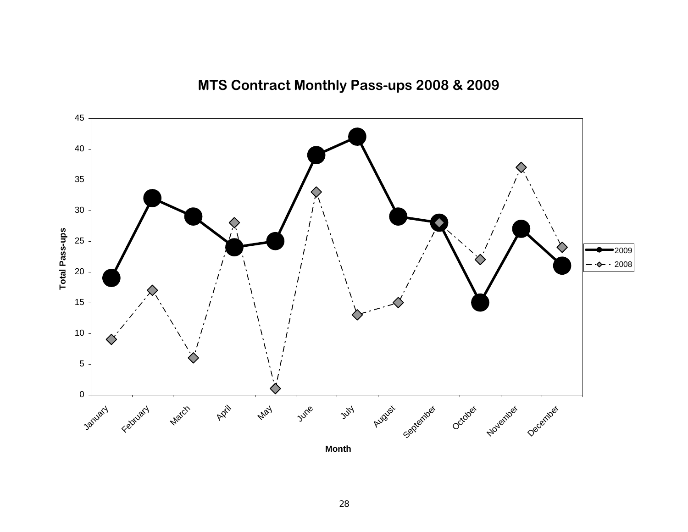

**MTS Contract Monthly Pass-ups 2008 & 2009**

**Month**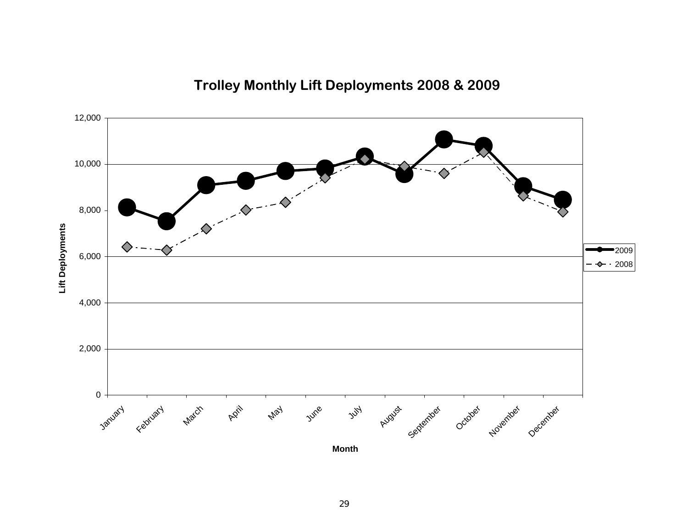

# **Trolley Monthly Lift Deployments 2008 & 2009**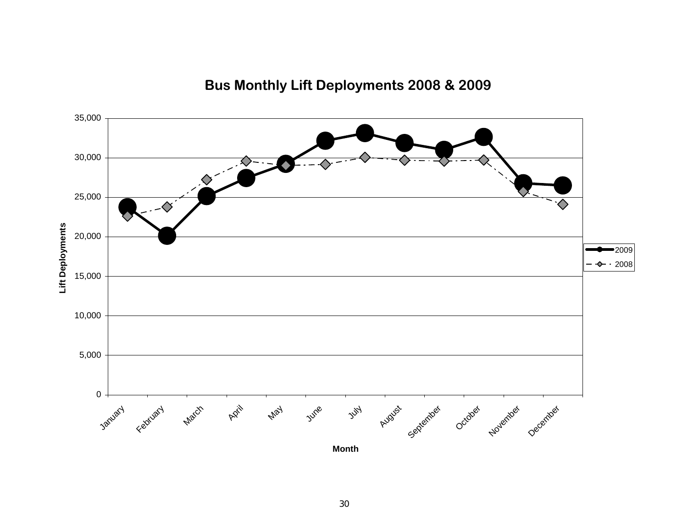![](_page_29_Figure_0.jpeg)

# **Bus Monthly Lift Deployments 2008 & 2009**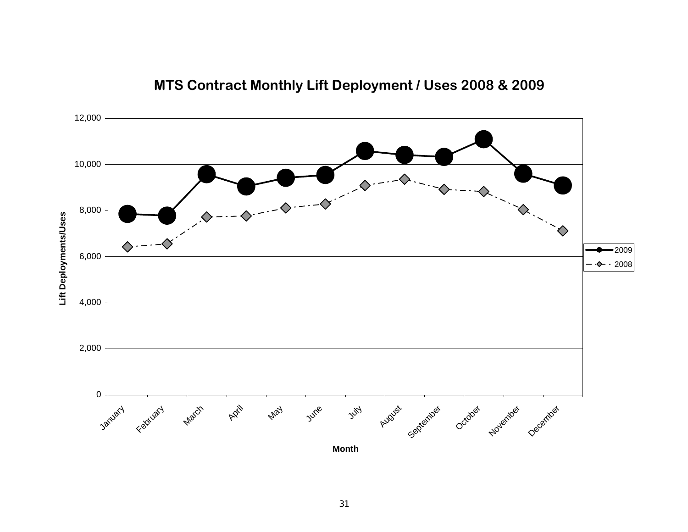![](_page_30_Figure_0.jpeg)

# **MTS Contract Monthly Lift Deployment / Uses 2008 & 2009**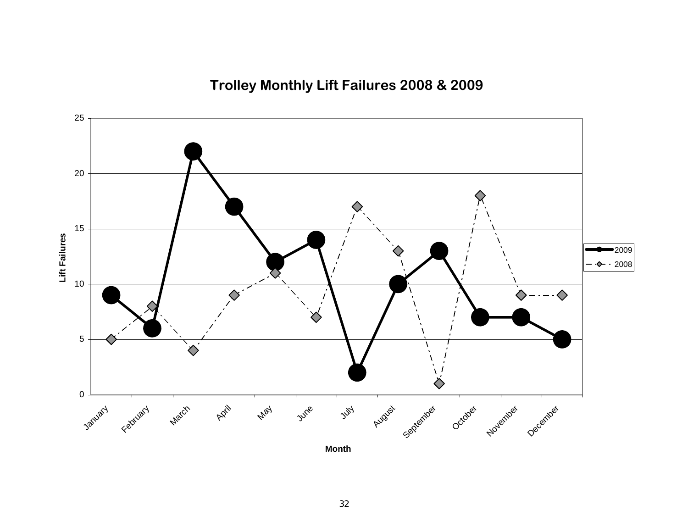**Trolley Monthly Lift Failures 2008 & 2009**

![](_page_31_Figure_1.jpeg)

**Month**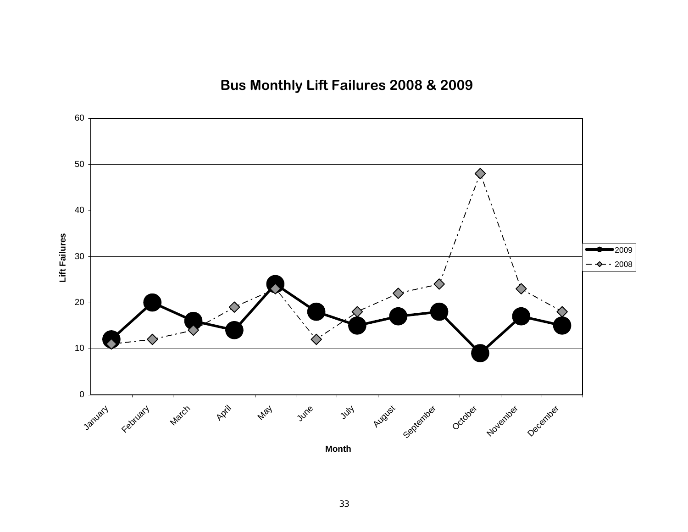**Bus Monthly Lift Failures 2008 & 2009**

![](_page_32_Figure_1.jpeg)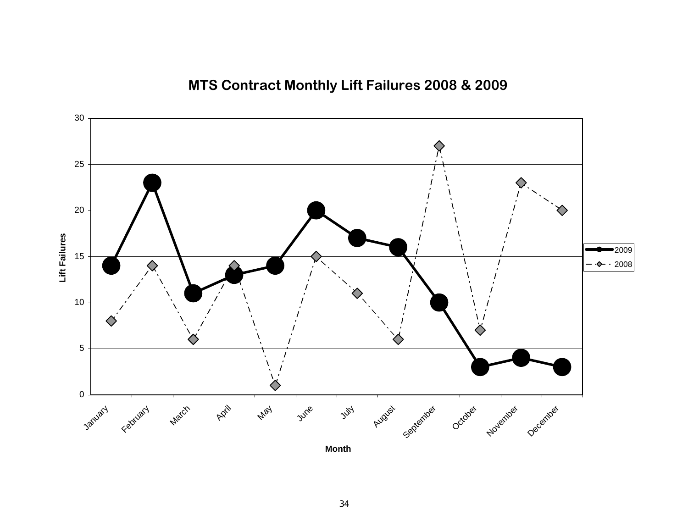# **MTS Contract Monthly Lift Failures 2008 & 2009**

![](_page_33_Figure_1.jpeg)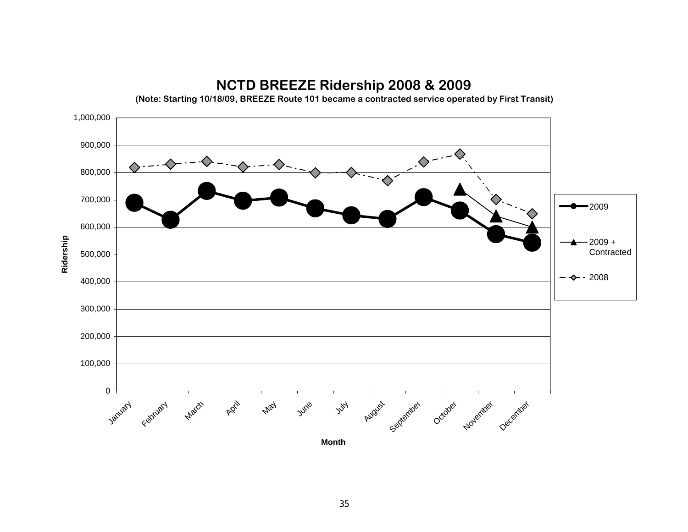![](_page_34_Figure_0.jpeg)

# **NCTD BREEZE Ridership 2008 & 2009**

**(Note: Starting 10/18/09, BREEZE Route 101 became a contracted service operated by First Transit)**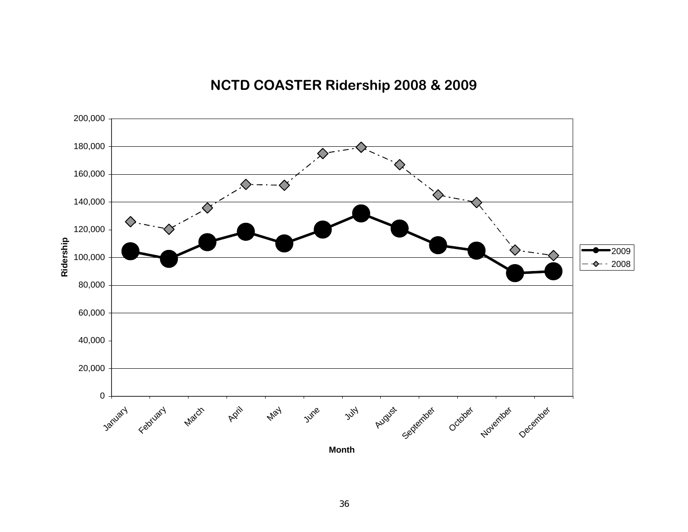# 020,000 40,000 60,000 80,000 100,000 120,000 140,000 160,000 180,000 200,000 January February **March** April May June  $y^{\mathcal{U}}$ August <sub>September October November December</sub> **Month**<u>**Rider 100,000**</u><br>Ridership<br>Rider 2008<br>Rider 2008

# **NCTD COASTER Ridership 2008 & 2009**

36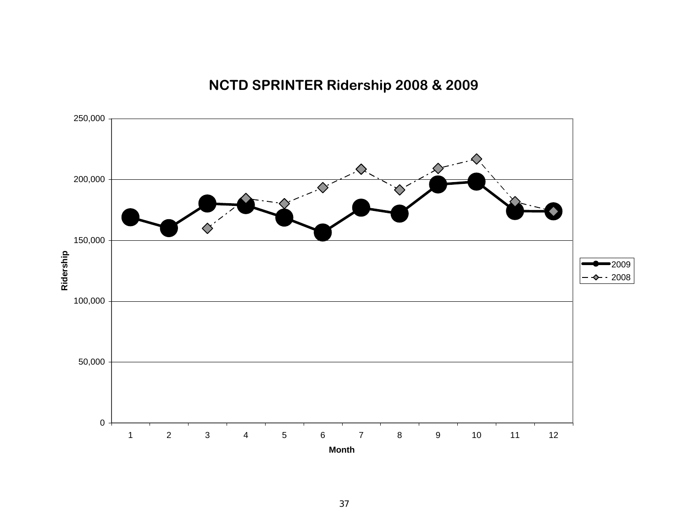# **NCTD SPRINTER Ridership 2008 & 2009**

![](_page_36_Figure_1.jpeg)